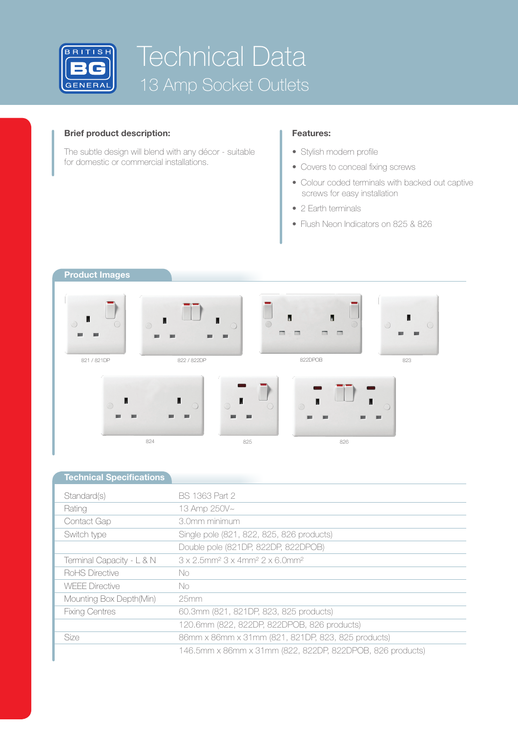

# Technical Data 13 Amp Socket Outlets

## **Brief product description:**

The subtle design will blend with any décor - suitable for domestic or commercial installations.

## **Features:**

- Stylish modern profile
- Covers to conceal fixing screws
- Colour coded terminals with backed out captive screws for easy installation
- 2 Earth terminals
- Flush Neon Indicators on 825 & 826

## **Product Images**



| <b>Technical Specifications</b> |                                                                                            |
|---------------------------------|--------------------------------------------------------------------------------------------|
| Standard(s)                     | BS 1363 Part 2                                                                             |
| Rating                          | 13 Amp 250V~                                                                               |
| Contact Gap                     | 3.0mm minimum                                                                              |
| Switch type                     | Single pole (821, 822, 825, 826 products)                                                  |
|                                 | Double pole (821DP, 822DP, 822DPOB)                                                        |
| Terminal Capacity - L & N       | $3 \times 2.5$ mm <sup>2</sup> $3 \times 4$ mm <sup>2</sup> $2 \times 6.0$ mm <sup>2</sup> |
| RoHS Directive                  | No.                                                                                        |
| <b>WEEE Directive</b>           | No.                                                                                        |
| Mounting Box Depth(Min)         | 25mm                                                                                       |
| <b>Fixing Centres</b>           | 60.3mm (821, 821DP, 823, 825 products)                                                     |
|                                 | 120.6mm (822, 822DP, 822DPOB, 826 products)                                                |
| <b>Size</b>                     | 86mm x 86mm x 31mm (821, 821DP, 823, 825 products)                                         |
|                                 | 146.5mm x 86mm x 31mm (822, 822DP, 822DPOB, 826 products)                                  |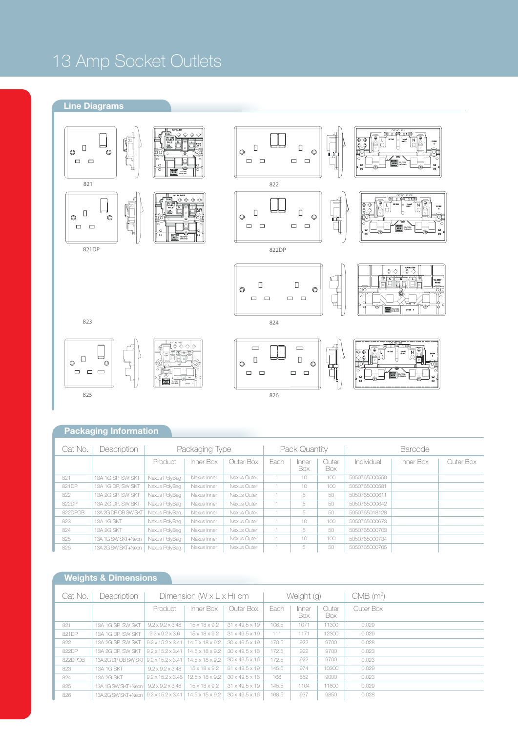## 13 Amp Socket Outlets

## **Line Diagrams**



## **Packaging Information**

| Cat No. | Description         | Packaging Type |             |             | Pack Quantity |              |              | <b>Barcode</b> |           |           |
|---------|---------------------|----------------|-------------|-------------|---------------|--------------|--------------|----------------|-----------|-----------|
|         |                     | Product        | Inner Box   | Outer Box   | Each          | Inner<br>Box | Outer<br>Box | Individual     | Inner Box | Outer Box |
| 821     | 13A 1G SP. SW SKT   | Nexus PolyBag  | Nexus Inner | Nexus Outer |               | 10           | 100          | 5050765000550  |           |           |
| 821DP   | 13A 1G DP, SW SKT   | Nexus PolyBag  | Nexus Inner | Nexus Outer |               | 10           | 100          | 5050765000581  |           |           |
| 822     | 13A 2G SP. SW SKT   | Nexus PolyBag  | Nexus Inner | Nexus Outer |               | 5            | 50           | 5050765000611  |           |           |
| 822DP   | 13A 2G DP. SW SKT   | Nexus PolyBag  | Nexus Inner | Nexus Outer |               | 5            | 50           | 5050765000642  |           |           |
| 822DPOB | 13A 2G DP OB SW SKT | Nexus PolyBag  | Nexus Inner | Nexus Outer |               | 5            | 50           | 5050765018128  |           |           |
| 823     | 13A 1G SKT          | Nexus PolyBag  | Nexus Inner | Nexus Outer |               | 10           | 100          | 5050765000673  |           |           |
| 824     | 13A 2G SKT          | Nexus PolyBag  | Nexus Inner | Nexus Outer |               | 5            | 50           | 5050765000703  |           |           |
| 825     | 13A 1G SW SKT+Neon  | Nexus PolyBag  | Nexus Inner | Nexus Outer |               | 10           | 100          | 5050765000734  |           |           |
| 826     | 13A 2G SW SKT+Neon  | Nexus PolvBag  | Nexus Inner | Nexus Outer |               | 5            | 50           | 5050765000765  |           |           |

## **Weights & Dimensions**

| Cat No. | Description<br>Dimension $(W \times L \times H)$ cm |                               |                             | Weight (g)                 |       |              | $CMB$ (m <sup>3</sup> ) |           |
|---------|-----------------------------------------------------|-------------------------------|-----------------------------|----------------------------|-------|--------------|-------------------------|-----------|
|         |                                                     | Product                       | Inner Box                   | Outer Box                  | Fach  | Inner<br>Box | Outer<br>Box.           | Outer Box |
| 821     | 13A 1G SP. SW SKT                                   | $9.2 \times 9.2 \times 3.48$  | $15 \times 18 \times 9.2$   | $31 \times 49.5 \times 19$ | 106.5 | 1071         | 11300                   | 0.029     |
| 821DP   | 13A 1G DP. SW SKT                                   | $9.2 \times 9.2 \times 3.6$   | $15 \times 18 \times 9.2$   | $31 \times 49.5 \times 19$ | 111   | 1171         | 12300                   | 0.029     |
| 822     | 13A 2G SP. SW SKT                                   | $9.2 \times 15.2 \times 3.41$ | $14.5 \times 18 \times 9.2$ | $30 \times 49.5 \times 19$ | 170.5 | 922          | 9700                    | 0.028     |
| 822DP   | 13A 2G DP. SW SKT                                   | $9.2 \times 15.2 \times 3.41$ | $14.5 \times 18 \times 9.2$ | $30 \times 49.5 \times 16$ | 172.5 | 922          | 9700                    | 0.023     |
| 822DPOB | 13A 2G DP OB SW SKT 9.2 x 15.2 x 3.41               |                               | $14.5 \times 18 \times 9.2$ | $30 \times 49.5 \times 16$ | 172.5 | 922          | 9700                    | 0.023     |
| 823     | 13A 1G SKT                                          | $9.2 \times 9.2 \times 3.48$  | $15 \times 18 \times 9.2$   | $31 \times 49.5 \times 19$ | 145.5 | 974          | 10300                   | 0.029     |
| 824     | 13A 2G SKT                                          | $9.2 \times 15.2 \times 3.48$ | $12.5 \times 18 \times 9.2$ | $30 \times 49.5 \times 16$ | 168   | 852          | 9000                    | 0.023     |
| 825     | 13A 1G SW SKT+Neon                                  | $9.2 \times 9.2 \times 3.48$  | $15 \times 18 \times 9.2$   | $31 \times 49.5 \times 19$ | 145.5 | 1104         | 11600                   | 0.029     |
| 826     | 13A 2G SW SKT+Neon   9.2 x 15.2 x 3.41              |                               | $14.5 \times 15 \times 9.2$ | $30 \times 49.5 \times 16$ | 168.5 | 937          | 9850                    | 0.028     |